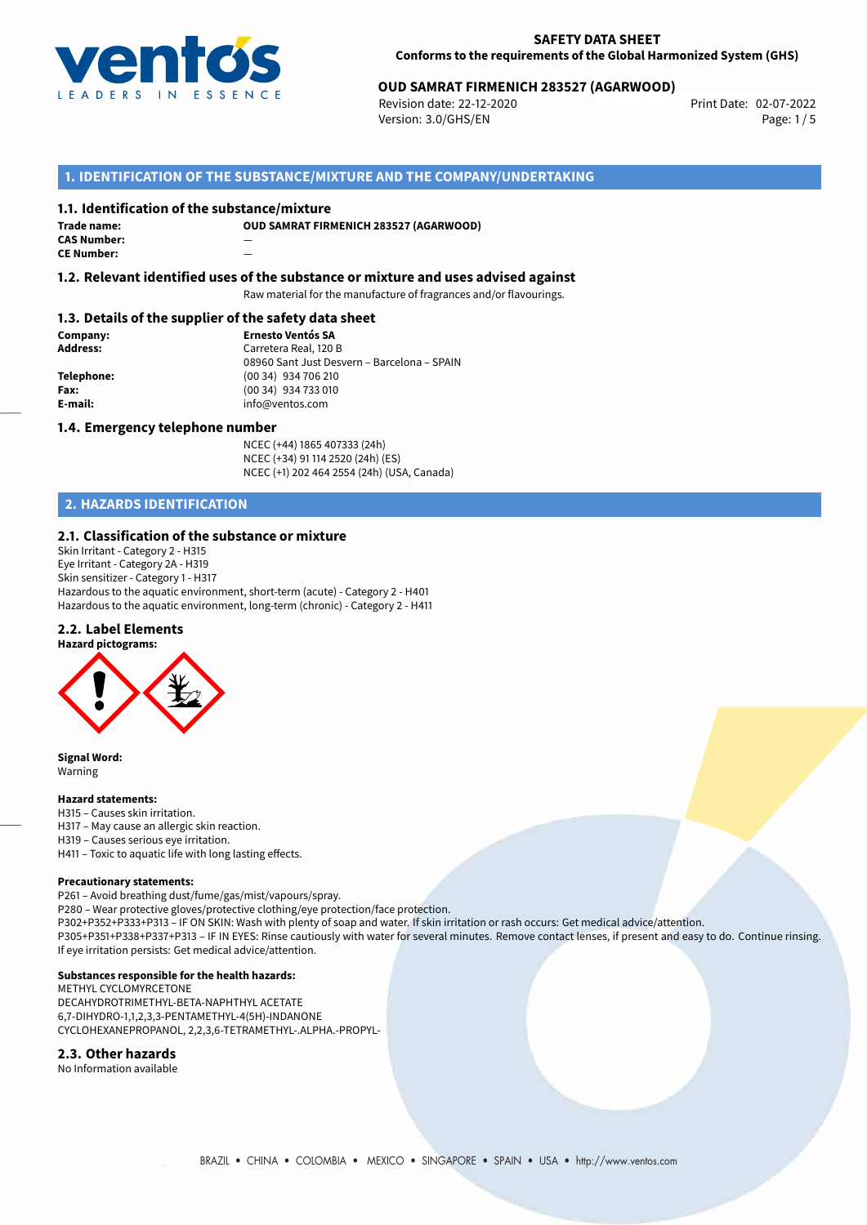

# **OUD SAMRAT FIRMENICH 283527 (AGARWOOD)**<br>Revision date: 22-12-2020<br>Print Date: 02-07-2022

Revision date: 22-12-2020 Version: 3.0/GHS/EN Page: 1/5

# **1. IDENTIFICATION OF THE SUBSTANCE/MIXTURE AND THE COMPANY/UNDERTAKING**

#### **1.1. Identification of the substance/mixture**

**Trade name: CAS Number:** — **CE Number:** —

**OUD SAMRAT FIRMENICH 283527 (AGARWOOD)**

**1.2. Relevant identified uses of the substance or mixture and uses advised against**

Raw material for the manufacture of fragrances and/or flavourings.

# **1.3. Details of the supplier of the safety data sheet**

**Company: Ernesto Ventós SA Address:** Carretera Real, 120 B 08960 Sant Just Desvern – Barcelona – SPAIN **Telephone:** (00 34) 934 706 210 **Fax:** (00 34) 934 733 010<br> **E-mail:** exercise the info@ventos.com **E-mail:** info@ventos.com

#### **1.4. Emergency telephone number**

NCEC (+44) 1865 407333 (24h) NCEC (+34) 91 114 2520 (24h) (ES) NCEC (+1) 202 464 2554 (24h) (USA, Canada)

# **2. HAZARDS IDENTIFICATION**

# **2.1. Classification of the substance or mixture**

Skin Irritant - Category 2 - H315 Eye Irritant - Category 2A - H319 Skin sensitizer - Category 1 - H317 Hazardous to the aquatic environment, short-term (acute) - Category 2 - H401 Hazardous to the aquatic environment, long-term (chronic) - Category 2 - H411

# **2.2. Label Elements**



**Signal Word:** Warning

#### **Hazard statements:**

H315 – Causes skin irritation. H317 – May cause an allergic skin reaction. H319 – Causes serious eye irritation.

H411 – Toxic to aquatic life with long lasting effects.

#### **Precautionary statements:**

P261 – Avoid breathing dust/fume/gas/mist/vapours/spray.

P280 – Wear protective gloves/protective clothing/eye protection/face protection. P302+P352+P333+P313 – IF ON SKIN: Wash with plenty of soap and water. If skin irritation or rash occurs: Get medical advice/attention. P305+P351+P338+P337+P313 – IF IN EYES: Rinse cautiously with water for several minutes. Remove contact lenses, if present and easy to do. Continue rinsing. If eye irritation persists: Get medical advice/attention.

### **Substances responsible for the health hazards:**

METHYL CYCLOMYRCETONE DECAHYDROTRIMETHYL-BETA-NAPHTHYL ACETATE 6,7-DIHYDRO-1,1,2,3,3-PENTAMETHYL-4(5H)-INDANONE CYCLOHEXANEPROPANOL, 2,2,3,6-TETRAMETHYL-.ALPHA.-PROPYL-

#### **2.3. Other hazards**

No Information available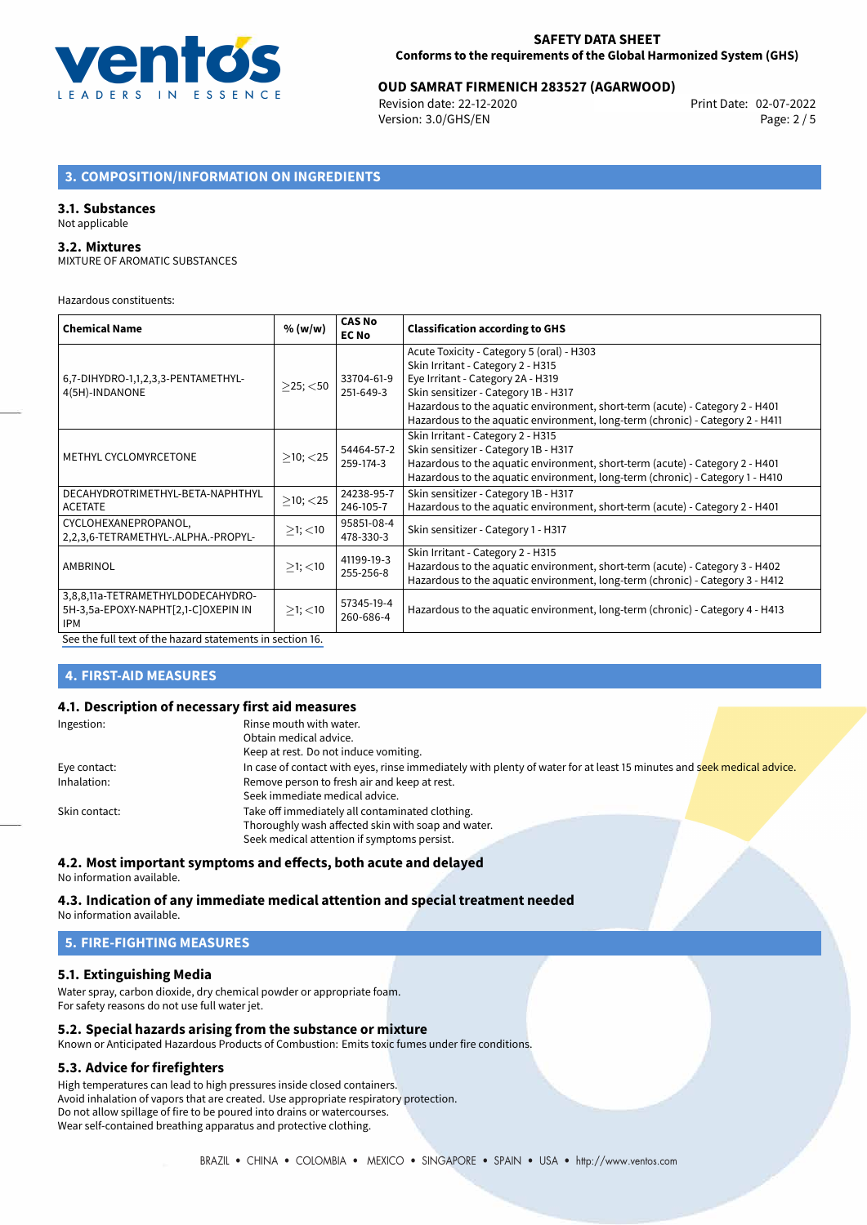

# **OUD SAMRAT FIRMENICH 283527 (AGARWOOD)**<br>Revision date: 22-12-2020<br>Print Date: 02-07-2022

Revision date: 22-12-2020 Version: 3.0/GHS/EN Page: 2 / 5

# **3. COMPOSITION/INFORMATION ON INGREDIENTS**

#### **3.1. Substances**

# Not applicable

#### **3.2. Mixtures**

MIXTURE OF AROMATIC SUBSTANCES

Hazardous constituents:

| <b>Chemical Name</b>                                                                                                                                                                                                          | % (w/w)        | <b>CAS No</b><br><b>EC No</b> | <b>Classification according to GHS</b>                                                                                                                                                                                                                                                                                       |
|-------------------------------------------------------------------------------------------------------------------------------------------------------------------------------------------------------------------------------|----------------|-------------------------------|------------------------------------------------------------------------------------------------------------------------------------------------------------------------------------------------------------------------------------------------------------------------------------------------------------------------------|
| 6,7-DIHYDRO-1,1,2,3,3-PENTAMETHYL-<br>4(5H)-INDANONE                                                                                                                                                                          | $\geq$ 25; <50 | 33704-61-9<br>251-649-3       | Acute Toxicity - Category 5 (oral) - H303<br>Skin Irritant - Category 2 - H315<br>Eye Irritant - Category 2A - H319<br>Skin sensitizer - Category 1B - H317<br>Hazardous to the aquatic environment, short-term (acute) - Category 2 - H401<br>Hazardous to the aquatic environment, long-term (chronic) - Category 2 - H411 |
| METHYL CYCLOMYRCETONE                                                                                                                                                                                                         | $>10$ ; < 25   | 54464-57-2<br>259-174-3       | Skin Irritant - Category 2 - H315<br>Skin sensitizer - Category 1B - H317<br>Hazardous to the aquatic environment, short-term (acute) - Category 2 - H401<br>Hazardous to the aquatic environment, long-term (chronic) - Category 1 - H410                                                                                   |
| DECAHYDROTRIMETHYL-BETA-NAPHTHYL<br><b>ACETATE</b>                                                                                                                                                                            | $>10$ ; $<$ 25 | 24238-95-7<br>246-105-7       | Skin sensitizer - Category 1B - H317<br>Hazardous to the aquatic environment, short-term (acute) - Category 2 - H401                                                                                                                                                                                                         |
| CYCLOHEXANEPROPANOL,<br>2,2,3,6-TETRAMETHYL-,ALPHA.-PROPYL-                                                                                                                                                                   | $>1$ ; $<$ 10  | 95851-08-4<br>478-330-3       | Skin sensitizer - Category 1 - H317                                                                                                                                                                                                                                                                                          |
| AMBRINOL                                                                                                                                                                                                                      | $>1$ ; $<$ 10  | 41199-19-3<br>255-256-8       | Skin Irritant - Category 2 - H315<br>Hazardous to the aquatic environment, short-term (acute) - Category 3 - H402<br>Hazardous to the aquatic environment, long-term (chronic) - Category 3 - H412                                                                                                                           |
| 3,8,8,11a-TETRAMETHYLDODECAHYDRO-<br>5H-3,5a-EPOXY-NAPHT[2,1-C]OXEPIN IN<br><b>IPM</b><br>$\mathbf{r}$ and $\mathbf{r}$ and $\mathbf{r}$ and $\mathbf{r}$ and $\mathbf{r}$ and $\mathbf{r}$ and $\mathbf{r}$ and $\mathbf{r}$ | $>1$ ; $<$ 10  | 57345-19-4<br>260-686-4       | Hazardous to the aquatic environment, long-term (chronic) - Category 4 - H413                                                                                                                                                                                                                                                |

[See the full text of the hazard statements in section 16.](#page-4-0)

# **4. FIRST-AID MEASURES**

# **4.1. Description of necessary first aid measures**

| Ingestion:    | Rinse mouth with water.                                                                                               |
|---------------|-----------------------------------------------------------------------------------------------------------------------|
|               | Obtain medical advice.                                                                                                |
|               | Keep at rest. Do not induce vomiting.                                                                                 |
| Eye contact:  | In case of contact with eyes, rinse immediately with plenty of water for at least 15 minutes and seek medical advice. |
| Inhalation:   | Remove person to fresh air and keep at rest.                                                                          |
|               | Seek immediate medical advice.                                                                                        |
| Skin contact: | Take off immediately all contaminated clothing.                                                                       |
|               | Thoroughly wash affected skin with soap and water.                                                                    |
|               | Seek medical attention if symptoms persist.                                                                           |

# **4.2. Most important symptoms and effects, both acute and delayed**

No information available.

#### **4.3. Indication of any immediate medical attention and special treatment needed** No information available.

### **5. FIRE-FIGHTING MEASURES**

# **5.1. Extinguishing Media**

Water spray, carbon dioxide, dry chemical powder or appropriate foam. For safety reasons do not use full water jet.

# **5.2. Special hazards arising from the substance or mixture**

Known or Anticipated Hazardous Products of Combustion: Emits toxic fumes under fire conditions.

### **5.3. Advice for firefighters**

High temperatures can lead to high pressures inside closed containers. Avoid inhalation of vapors that are created. Use appropriate respiratory protection. Do not allow spillage of fire to be poured into drains or watercourses. Wear self-contained breathing apparatus and protective clothing.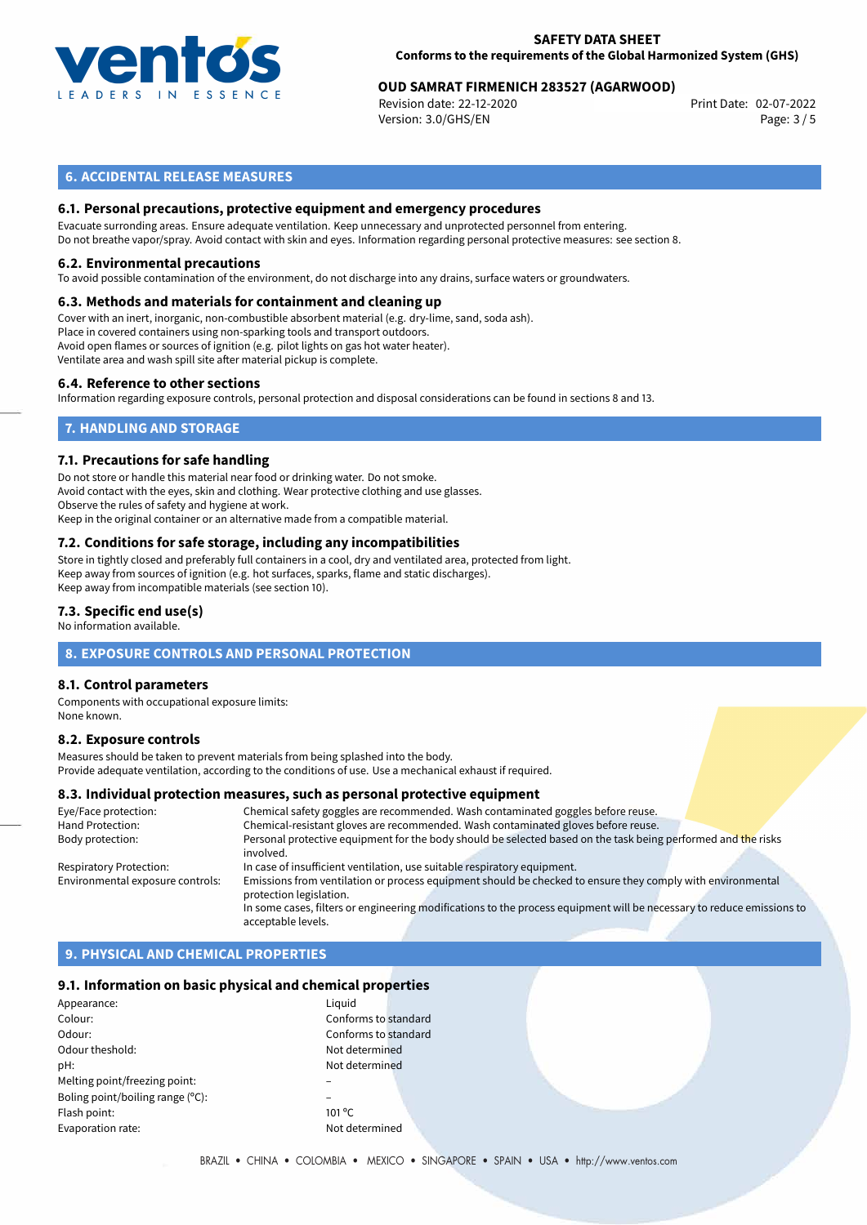

# **OUD SAMRAT FIRMENICH 283527 (AGARWOOD)**<br>Revision date: 22-12-2020<br>Print Date: 02-07-2022

Revision date: 22-12-2020 Version: 3.0/GHS/EN Page: 3 / 5

# **6. ACCIDENTAL RELEASE MEASURES**

# **6.1. Personal precautions, protective equipment and emergency procedures**

Evacuate surronding areas. Ensure adequate ventilation. Keep unnecessary and unprotected personnel from entering. Do not breathe vapor/spray. Avoid contact with skin and eyes. Information regarding personal protective measures: see section 8.

#### **6.2. Environmental precautions**

To avoid possible contamination of the environment, do not discharge into any drains, surface waters or groundwaters.

#### **6.3. Methods and materials for containment and cleaning up**

Cover with an inert, inorganic, non-combustible absorbent material (e.g. dry-lime, sand, soda ash). Place in covered containers using non-sparking tools and transport outdoors. Avoid open flames or sources of ignition (e.g. pilot lights on gas hot water heater). Ventilate area and wash spill site after material pickup is complete.

#### **6.4. Reference to other sections**

Information regarding exposure controls, personal protection and disposal considerations can be found in sections 8 and 13.

# **7. HANDLING AND STORAGE**

#### **7.1. Precautions for safe handling**

Do not store or handle this material near food or drinking water. Do not smoke. Avoid contact with the eyes, skin and clothing. Wear protective clothing and use glasses. Observe the rules of safety and hygiene at work. Keep in the original container or an alternative made from a compatible material.

# **7.2. Conditions for safe storage, including any incompatibilities**

Store in tightly closed and preferably full containers in a cool, dry and ventilated area, protected from light. Keep away from sources of ignition (e.g. hot surfaces, sparks, flame and static discharges). Keep away from incompatible materials (see section 10).

#### **7.3. Specific end use(s)**

No information available.

# **8. EXPOSURE CONTROLS AND PERSONAL PROTECTION**

#### **8.1. Control parameters**

Components with occupational exposure limits: None known.

#### **8.2. Exposure controls**

Measures should be taken to prevent materials from being splashed into the body. Provide adequate ventilation, according to the conditions of use. Use a mechanical exhaust if required.

#### **8.3. Individual protection measures, such as personal protective equipment**

| Eye/Face protection:             | Chemical safety goggles are recommended. Wash contaminated goggles before reuse.                                                      |
|----------------------------------|---------------------------------------------------------------------------------------------------------------------------------------|
| Hand Protection:                 | Chemical-resistant gloves are recommended. Wash contaminated gloves before reuse.                                                     |
| Body protection:                 | Personal protective equipment for the body should be selected based on the task being performed and the risks<br>involved.            |
| <b>Respiratory Protection:</b>   | In case of insufficient ventilation, use suitable respiratory equipment.                                                              |
| Environmental exposure controls: | Emissions from ventilation or process equipment should be checked to ensure they comply with environmental<br>protection legislation. |
|                                  | In some cases, filters or engineering modifications to the process equipment will be necessary to reduce emissions to                 |
|                                  | acceptable levels.                                                                                                                    |

# **9. PHYSICAL AND CHEMICAL PROPERTIES**

#### **9.1. Information on basic physical and chemical properties**

| Appearance:                      | Liguid          |
|----------------------------------|-----------------|
| Colour:                          | Confo           |
| Odour:                           | Confo           |
| Odour theshold:                  | Not de          |
| pH:                              | Not de          |
| Melting point/freezing point:    |                 |
| Boling point/boiling range (°C): |                 |
| Flash point:                     | $101^{\circ}$ C |
| Evaporation rate:                | Not de          |
|                                  |                 |

Conforms to standard Conforms to standard Not determined Not determined Not determined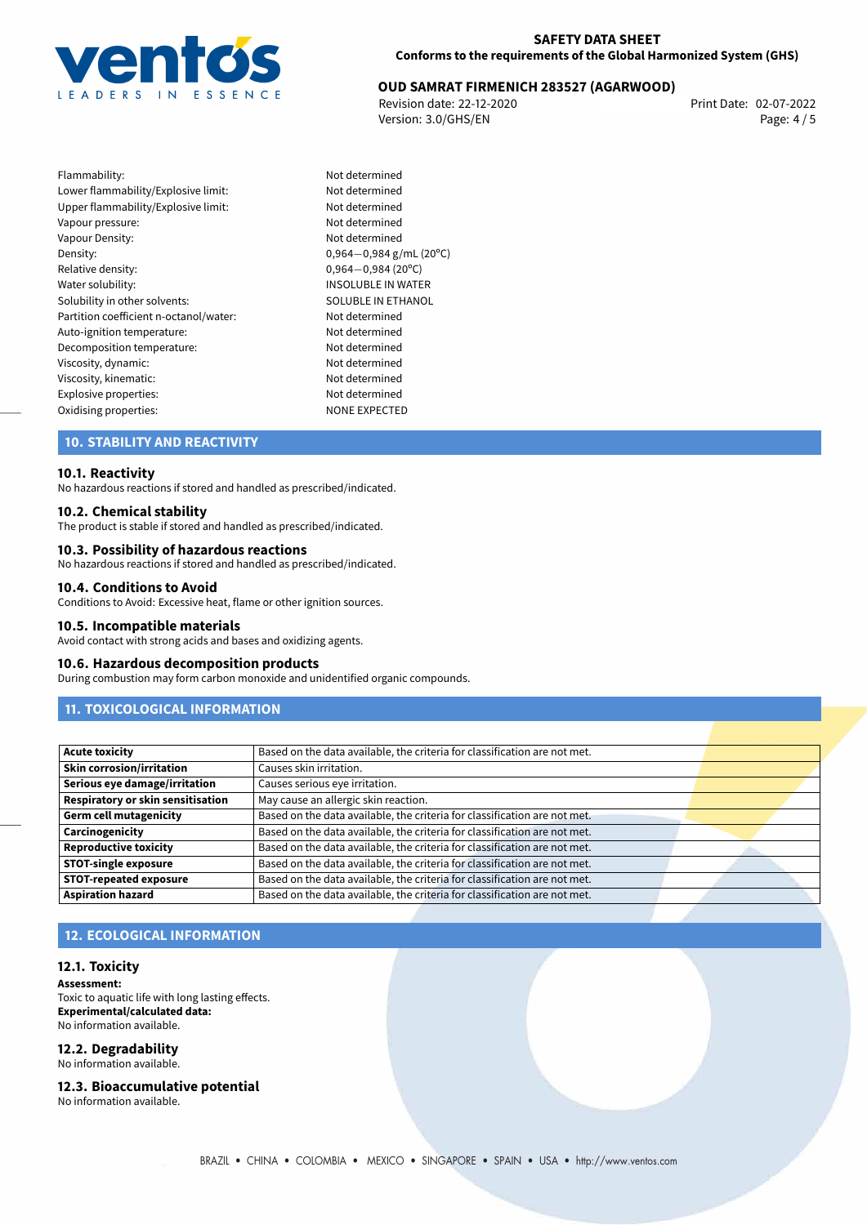

# **OUD SAMRAT FIRMENICH 283527 (AGARWOOD)**<br>Revision date: 22-12-2020<br>Print Date: 02-07-2022

Revision date: 22-12-2020 Version: 3.0/GHS/EN Page: 4 / 5

Flammability: Not determined Lower flammability/Explosive limit: Not determined Upper flammability/Explosive limit: Not determined Vapour pressure: Vapour pressure: Vapour Density: Not determined Density: 0,964−0,984 g/mL (20<sup>o</sup>C)<br>Relative density: 0,964−0,984 (20<sup>o</sup>C) Relative density: 0,964*−*0,984 (20ºC) Solubility in other solvents: SOLUBLE IN ETHANOL Partition coefficient n-octanol/water: Not determined Auto-ignition temperature: Not determined Decomposition temperature: Not determined Viscosity, dynamic: Not determined Viscosity, kinematic: Not determined Explosive properties:<br>
Oxidising properties:<br>
NONE EXPECTED Oxidising properties:

INSOLUBLE IN WATER

# **10. STABILITY AND REACTIVITY**

#### **10.1. Reactivity**

No hazardous reactions if stored and handled as prescribed/indicated.

#### **10.2. Chemical stability**

The product is stable if stored and handled as prescribed/indicated.

#### **10.3. Possibility of hazardous reactions**

No hazardous reactions if stored and handled as prescribed/indicated.

#### **10.4. Conditions to Avoid**

Conditions to Avoid: Excessive heat, flame or other ignition sources.

#### **10.5. Incompatible materials**

Avoid contact with strong acids and bases and oxidizing agents.

#### **10.6. Hazardous decomposition products**

During combustion may form carbon monoxide and unidentified organic compounds.

# **11. TOXICOLOGICAL INFORMATION**

| <b>Acute toxicity</b>             | Based on the data available, the criteria for classification are not met. |  |
|-----------------------------------|---------------------------------------------------------------------------|--|
| <b>Skin corrosion/irritation</b>  | Causes skin irritation.                                                   |  |
| Serious eye damage/irritation     | Causes serious eye irritation.                                            |  |
| Respiratory or skin sensitisation | May cause an allergic skin reaction.                                      |  |
| <b>Germ cell mutagenicity</b>     | Based on the data available, the criteria for classification are not met. |  |
| Carcinogenicity                   | Based on the data available, the criteria for classification are not met. |  |
| <b>Reproductive toxicity</b>      | Based on the data available, the criteria for classification are not met. |  |
| <b>STOT-single exposure</b>       | Based on the data available, the criteria for classification are not met. |  |
| <b>STOT-repeated exposure</b>     | Based on the data available, the criteria for classification are not met. |  |
| <b>Aspiration hazard</b>          | Based on the data available, the criteria for classification are not met. |  |

# **12. ECOLOGICAL INFORMATION**

#### **12.1. Toxicity**

**Assessment:** Toxic to aquatic life with long lasting effects. **Experimental/calculated data:** No information available.

# **12.2. Degradability**

No information available.

#### **12.3. Bioaccumulative potential**

No information available.